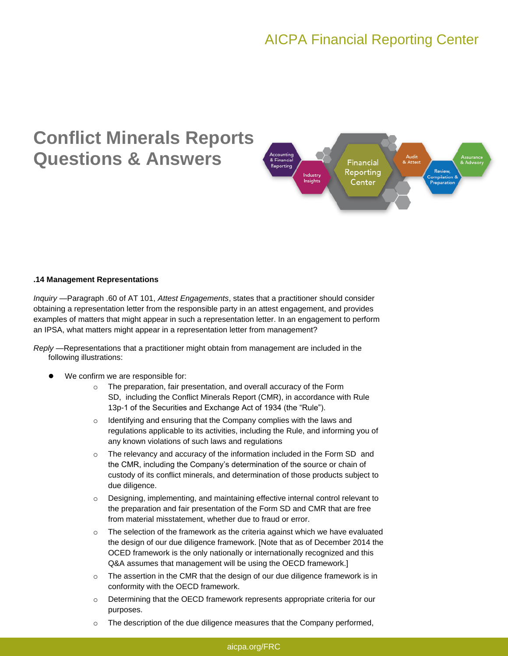## AICPA Financial Reporting Center

# **Conflict Minerals Reports Questions & Answers**



#### **.14 Management Representations**

*Inquiry —*Paragraph .60 of AT 101, *Attest Engagements*, states that a practitioner should consider obtaining a representation letter from the responsible party in an attest engagement, and provides examples of matters that might appear in such a representation letter. In an engagement to perform an IPSA, what matters might appear in a representation letter from management?

*Reply —*Representations that a practitioner might obtain from management are included in the following illustrations:

- We confirm we are responsible for:
	- o The preparation, fair presentation, and overall accuracy of the Form SD, including the Conflict Minerals Report (CMR), in accordance with Rule 13p-1 of the Securities and Exchange Act of 1934 (the "Rule").
	- o Identifying and ensuring that the Company complies with the laws and regulations applicable to its activities, including the Rule, and informing you of any known violations of such laws and regulations
	- $\circ$  The relevancy and accuracy of the information included in the Form SD and the CMR, including the Company's determination of the source or chain of custody of its conflict minerals, and determination of those products subject to due diligence.
	- o Designing, implementing, and maintaining effective internal control relevant to the preparation and fair presentation of the Form SD and CMR that are free from material misstatement, whether due to fraud or error.
	- o The selection of the framework as the criteria against which we have evaluated the design of our due diligence framework. [Note that as of December 2014 the OCED framework is the only nationally or internationally recognized and this Q&A assumes that management will be using the OECD framework.]
	- $\circ$  The assertion in the CMR that the design of our due diligence framework is in conformity with the OECD framework.
	- $\circ$  Determining that the OECD framework represents appropriate criteria for our purposes.
	- $\circ$  The description of the due diligence measures that the Company performed,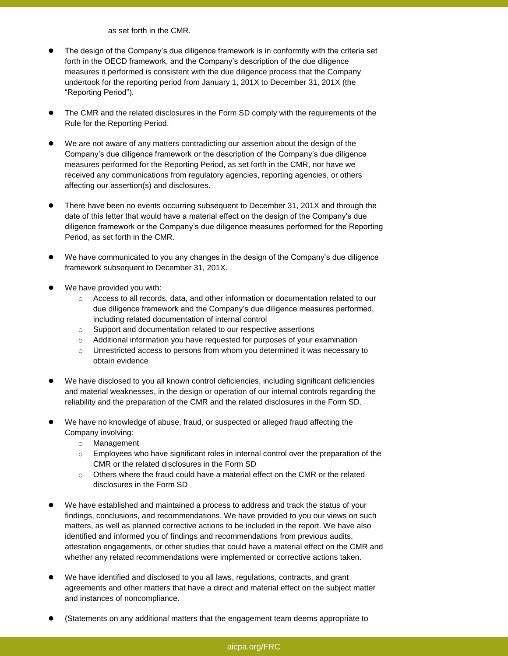as set forth in the CMR.

- The design of the Company's due diligence framework is in conformity with the criteria set forth in the OECD framework, and the Company's description of the due diligence measures it performed is consistent with the due diligence process that the Company undertook for the reporting period from January 1, 201X to December 31, 201X (the "Reporting Period").
- The CMR and the related disclosures in the Form SD comply with the requirements of the Rule for the Reporting Period.
- We are not aware of any matters contradicting our assertion about the design of the Company's due diligence framework or the description of the Company's due diligence measures performed for the Reporting Period, as set forth in the CMR, nor have we received any communications from regulatory agencies, reporting agencies, or others affecting our assertion(s) and disclosures.
- There have been no events occurring subsequent to December 31, 201X and through the date of this letter that would have a material effect on the design of the Company's due diligence framework or the Company's due diligence measures performed for the Reporting Period, as set forth in the CMR.
- We have communicated to you any changes in the design of the Company's due diligence framework subsequent to December 31, 201X.
- We have provided you with:
	- o Access to all records, data, and other information or documentation related to our due diligence framework and the Company's due diligence measures performed, including related documentation of internal control
	- o Support and documentation related to our respective assertions
	- $\circ$  Additional information you have requested for purposes of your examination
	- o Unrestricted access to persons from whom you determined it was necessary to obtain evidence
- We have disclosed to you all known control deficiencies, including significant deficiencies and material weaknesses, in the design or operation of our internal controls regarding the reliability and the preparation of the CMR and the related disclosures in the Form SD.
- We have no knowledge of abuse, fraud, or suspected or alleged fraud affecting the Company involving:
	- o Management
	- $\circ$  Employees who have significant roles in internal control over the preparation of the CMR or the related disclosures in the Form SD
	- $\circ$  Others where the fraud could have a material effect on the CMR or the related disclosures in the Form SD
- We have established and maintained a process to address and track the status of your findings, conclusions, and recommendations. We have provided to you our views on such matters, as well as planned corrective actions to be included in the report. We have also identified and informed you of findings and recommendations from previous audits, attestation engagements, or other studies that could have a material effect on the CMR and whether any related recommendations were implemented or corrective actions taken.
- We have identified and disclosed to you all laws, regulations, contracts, and grant agreements and other matters that have a direct and material effect on the subject matter and instances of noncompliance.
- (Statements on any additional matters that the engagement team deems appropriate to

### aicpa.org/FRC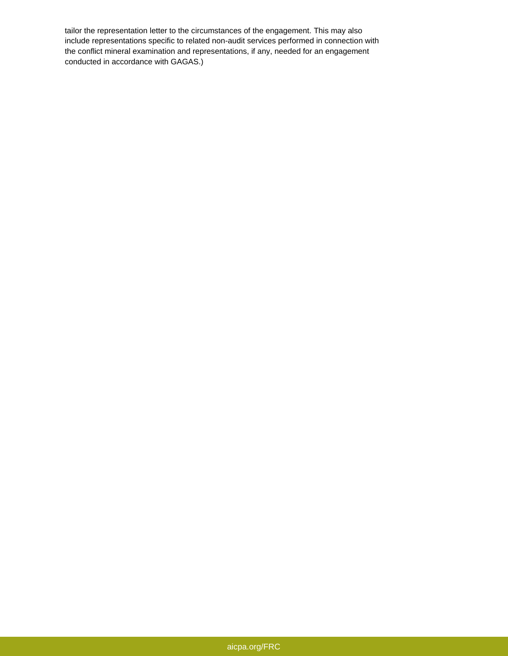tailor the representation letter to the circumstances of the engagement. This may also include representations specific to related non-audit services performed in connection with the conflict mineral examination and representations, if any, needed for an engagement conducted in accordance with GAGAS.)